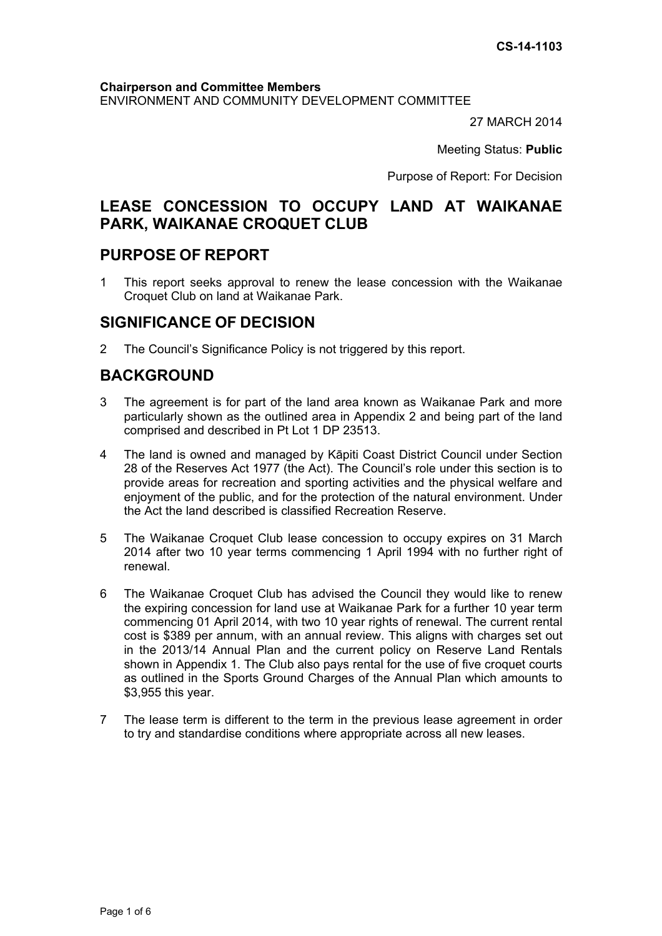**Chairperson and Committee Members** ENVIRONMENT AND COMMUNITY DEVELOPMENT COMMITTEE

27 MARCH 2014

Meeting Status: **Public**

Purpose of Report: For Decision

# **LEASE CONCESSION TO OCCUPY LAND AT WAIKANAE PARK, WAIKANAE CROQUET CLUB**

## **PURPOSE OF REPORT**

1 This report seeks approval to renew the lease concession with the Waikanae Croquet Club on land at Waikanae Park.

## **SIGNIFICANCE OF DECISION**

2 The Council's Significance Policy is not triggered by this report.

# **BACKGROUND**

- 3 The agreement is for part of the land area known as Waikanae Park and more particularly shown as the outlined area in Appendix 2 and being part of the land comprised and described in Pt Lot 1 DP 23513.
- 4 The land is owned and managed by Kāpiti Coast District Council under Section 28 of the Reserves Act 1977 (the Act). The Council's role under this section is to provide areas for recreation and sporting activities and the physical welfare and enjoyment of the public, and for the protection of the natural environment. Under the Act the land described is classified Recreation Reserve.
- 5 The Waikanae Croquet Club lease concession to occupy expires on 31 March 2014 after two 10 year terms commencing 1 April 1994 with no further right of renewal.
- 6 The Waikanae Croquet Club has advised the Council they would like to renew the expiring concession for land use at Waikanae Park for a further 10 year term commencing 01 April 2014, with two 10 year rights of renewal. The current rental cost is \$389 per annum, with an annual review. This aligns with charges set out in the 2013/14 Annual Plan and the current policy on Reserve Land Rentals shown in Appendix 1. The Club also pays rental for the use of five croquet courts as outlined in the Sports Ground Charges of the Annual Plan which amounts to \$3,955 this year.
- 7 The lease term is different to the term in the previous lease agreement in order to try and standardise conditions where appropriate across all new leases.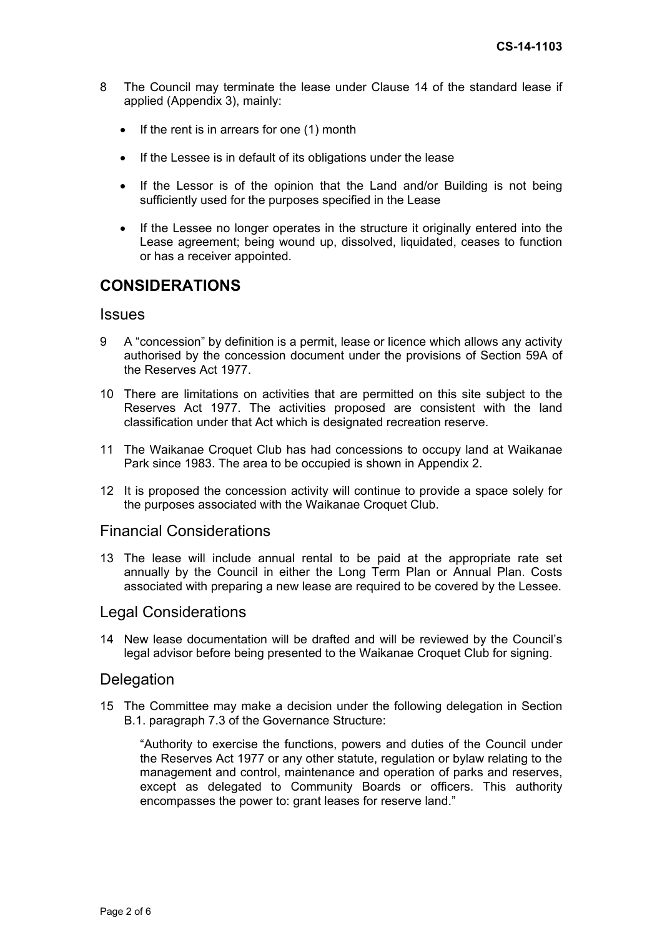- 8 The Council may terminate the lease under Clause 14 of the standard lease if applied (Appendix 3), mainly:
	- $\bullet$  If the rent is in arrears for one (1) month
	- If the Lessee is in default of its obligations under the lease
	- If the Lessor is of the opinion that the Land and/or Building is not being sufficiently used for the purposes specified in the Lease
	- If the Lessee no longer operates in the structure it originally entered into the Lease agreement; being wound up, dissolved, liquidated, ceases to function or has a receiver appointed.

## **CONSIDERATIONS**

#### **Issues**

- 9 A "concession" by definition is a permit, lease or licence which allows any activity authorised by the concession document under the provisions of Section 59A of the Reserves Act 1977.
- 10 There are limitations on activities that are permitted on this site subject to the Reserves Act 1977. The activities proposed are consistent with the land classification under that Act which is designated recreation reserve.
- 11 The Waikanae Croquet Club has had concessions to occupy land at Waikanae Park since 1983. The area to be occupied is shown in Appendix 2.
- 12 It is proposed the concession activity will continue to provide a space solely for the purposes associated with the Waikanae Croquet Club.

### Financial Considerations

13 The lease will include annual rental to be paid at the appropriate rate set annually by the Council in either the Long Term Plan or Annual Plan. Costs associated with preparing a new lease are required to be covered by the Lessee.

#### Legal Considerations

14 New lease documentation will be drafted and will be reviewed by the Council's legal advisor before being presented to the Waikanae Croquet Club for signing.

#### **Delegation**

15 The Committee may make a decision under the following delegation in Section B.1. paragraph 7.3 of the Governance Structure:

 "Authority to exercise the functions, powers and duties of the Council under the Reserves Act 1977 or any other statute, regulation or bylaw relating to the management and control, maintenance and operation of parks and reserves, except as delegated to Community Boards or officers. This authority encompasses the power to: grant leases for reserve land."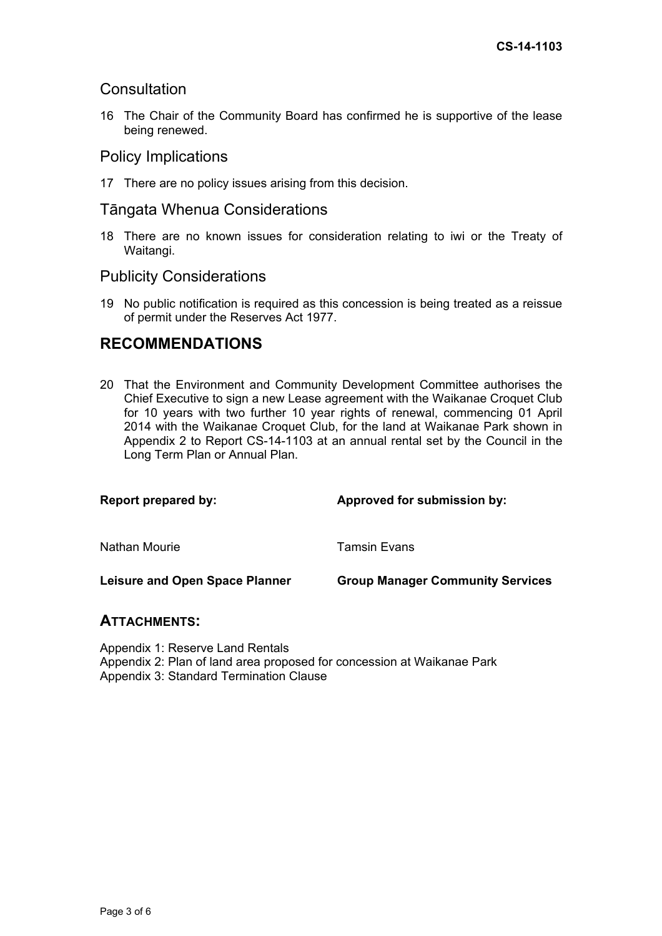## **Consultation**

16 The Chair of the Community Board has confirmed he is supportive of the lease being renewed.

### Policy Implications

17 There are no policy issues arising from this decision.

## Tāngata Whenua Considerations

18 There are no known issues for consideration relating to iwi or the Treaty of Waitangi.

### Publicity Considerations

19 No public notification is required as this concession is being treated as a reissue of permit under the Reserves Act 1977.

# **RECOMMENDATIONS**

20 That the Environment and Community Development Committee authorises the Chief Executive to sign a new Lease agreement with the Waikanae Croquet Club for 10 years with two further 10 year rights of renewal, commencing 01 April 2014 with the Waikanae Croquet Club, for the land at Waikanae Park shown in Appendix 2 to Report CS-14-1103 at an annual rental set by the Council in the Long Term Plan or Annual Plan.

| Report prepared by: | Approved for submission by: |
|---------------------|-----------------------------|
|                     |                             |

Nathan Mourie Tamsin Evans

**Leisure and Open Space Planner Group Manager Community Services** 

### **ATTACHMENTS:**

Appendix 1: Reserve Land Rentals Appendix 2: Plan of land area proposed for concession at Waikanae Park Appendix 3: Standard Termination Clause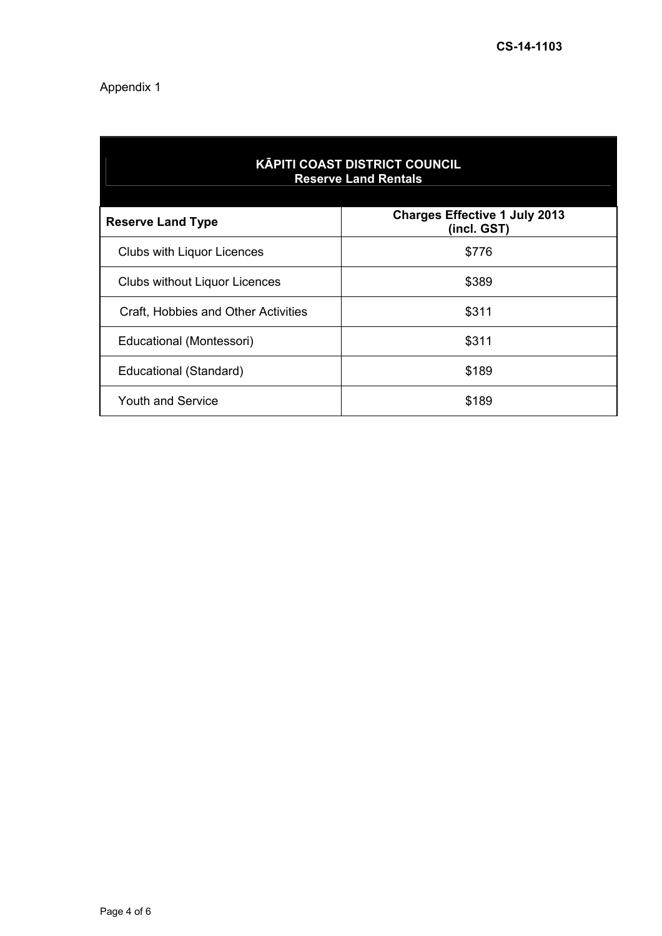# Appendix 1

| <b>KĀPITI COAST DISTRICT COUNCIL</b><br><b>Reserve Land Rentals</b> |                                                     |  |
|---------------------------------------------------------------------|-----------------------------------------------------|--|
| <b>Reserve Land Type</b>                                            | <b>Charges Effective 1 July 2013</b><br>(incl. GST) |  |
| Clubs with Liquor Licences                                          | \$776                                               |  |
| <b>Clubs without Liquor Licences</b>                                | \$389                                               |  |
| Craft, Hobbies and Other Activities                                 | \$311                                               |  |
| Educational (Montessori)                                            | \$311                                               |  |
| Educational (Standard)                                              | \$189                                               |  |
| <b>Youth and Service</b>                                            | \$189                                               |  |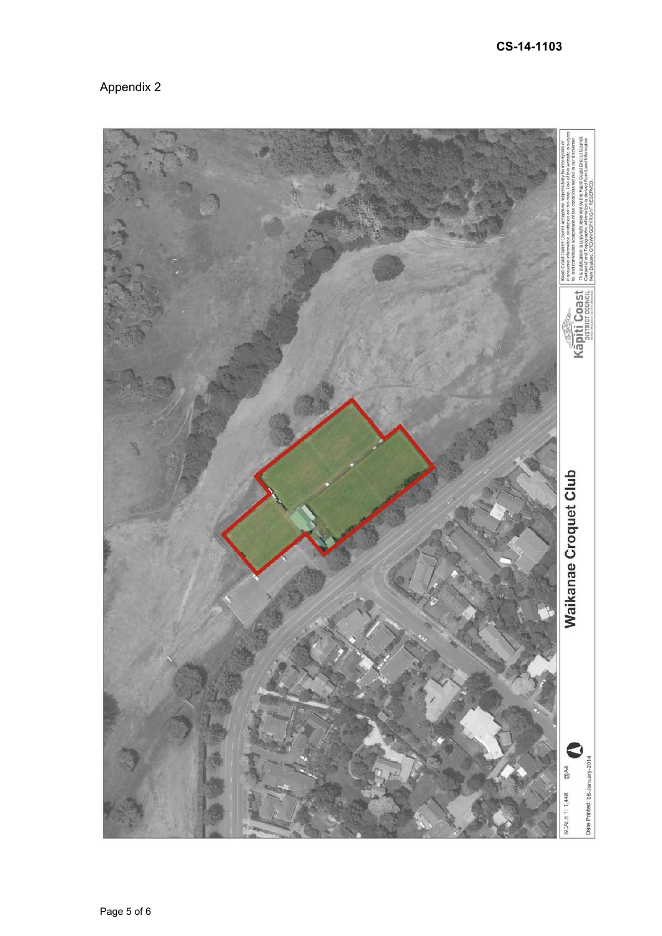

Appendix 2